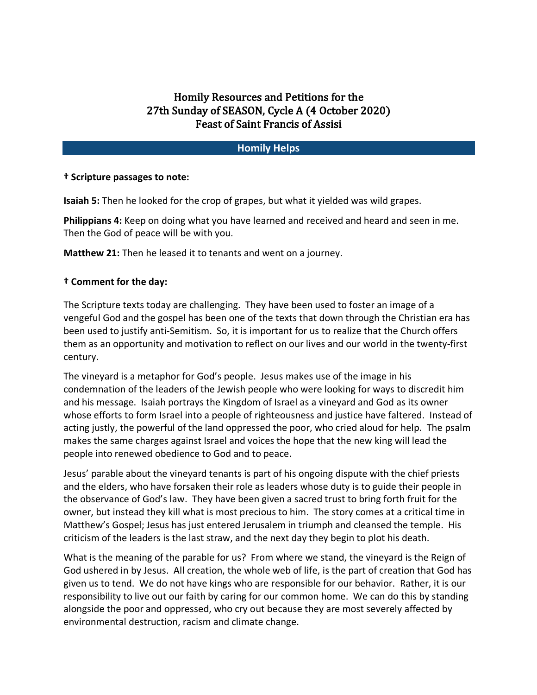# Homily Resources and Petitions for the 27th Sunday of SEASON, Cycle A (4 October 2020) Feast of Saint Francis of Assisi

### **Homily Helps**

#### **† Scripture passages to note:**

**Isaiah 5:** Then he looked for the crop of grapes, but what it yielded was wild grapes.

**Philippians 4:** Keep on doing what you have learned and received and heard and seen in me. Then the God of peace will be with you.

**Matthew 21:** Then he leased it to tenants and went on a journey.

#### **† Comment for the day:**

The Scripture texts today are challenging. They have been used to foster an image of a vengeful God and the gospel has been one of the texts that down through the Christian era has been used to justify anti-Semitism. So, it is important for us to realize that the Church offers them as an opportunity and motivation to reflect on our lives and our world in the twenty-first century.

The vineyard is a metaphor for God's people. Jesus makes use of the image in his condemnation of the leaders of the Jewish people who were looking for ways to discredit him and his message. Isaiah portrays the Kingdom of Israel as a vineyard and God as its owner whose efforts to form Israel into a people of righteousness and justice have faltered. Instead of acting justly, the powerful of the land oppressed the poor, who cried aloud for help. The psalm makes the same charges against Israel and voices the hope that the new king will lead the people into renewed obedience to God and to peace.

Jesus' parable about the vineyard tenants is part of his ongoing dispute with the chief priests and the elders, who have forsaken their role as leaders whose duty is to guide their people in the observance of God's law. They have been given a sacred trust to bring forth fruit for the owner, but instead they kill what is most precious to him. The story comes at a critical time in Matthew's Gospel; Jesus has just entered Jerusalem in triumph and cleansed the temple. His criticism of the leaders is the last straw, and the next day they begin to plot his death.

What is the meaning of the parable for us? From where we stand, the vineyard is the Reign of God ushered in by Jesus. All creation, the whole web of life, is the part of creation that God has given us to tend. We do not have kings who are responsible for our behavior. Rather, it is our responsibility to live out our faith by caring for our common home. We can do this by standing alongside the poor and oppressed, who cry out because they are most severely affected by environmental destruction, racism and climate change.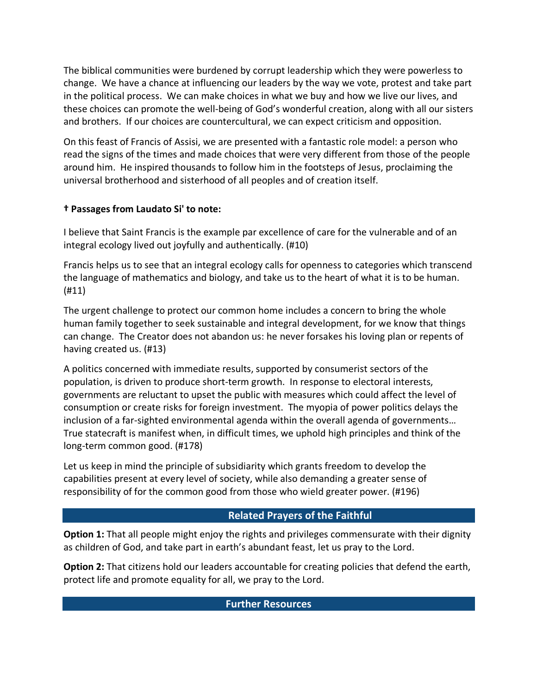The biblical communities were burdened by corrupt leadership which they were powerless to change. We have a chance at influencing our leaders by the way we vote, protest and take part in the political process. We can make choices in what we buy and how we live our lives, and these choices can promote the well-being of God's wonderful creation, along with all our sisters and brothers. If our choices are countercultural, we can expect criticism and opposition.

On this feast of Francis of Assisi, we are presented with a fantastic role model: a person who read the signs of the times and made choices that were very different from those of the people around him. He inspired thousands to follow him in the footsteps of Jesus, proclaiming the universal brotherhood and sisterhood of all peoples and of creation itself.

## **† Passages from Laudato Si' to note:**

I believe that Saint Francis is the example par excellence of care for the vulnerable and of an integral ecology lived out joyfully and authentically. (#10)

Francis helps us to see that an integral ecology calls for openness to categories which transcend the language of mathematics and biology, and take us to the heart of what it is to be human. (#11)

The urgent challenge to protect our common home includes a concern to bring the whole human family together to seek sustainable and integral development, for we know that things can change. The Creator does not abandon us: he never forsakes his loving plan or repents of having created us. (#13)

A politics concerned with immediate results, supported by consumerist sectors of the population, is driven to produce short-term growth. In response to electoral interests, governments are reluctant to upset the public with measures which could affect the level of consumption or create risks for foreign investment. The myopia of power politics delays the inclusion of a far-sighted environmental agenda within the overall agenda of governments… True statecraft is manifest when, in difficult times, we uphold high principles and think of the long-term common good. (#178)

Let us keep in mind the principle of subsidiarity which grants freedom to develop the capabilities present at every level of society, while also demanding a greater sense of responsibility of for the common good from those who wield greater power. (#196)

# **Related Prayers of the Faithful**

**Option 1:** That all people might enjoy the rights and privileges commensurate with their dignity as children of God, and take part in earth's abundant feast, let us pray to the Lord.

**Option 2:** That citizens hold our leaders accountable for creating policies that defend the earth, protect life and promote equality for all, we pray to the Lord.

### **Further Resources**